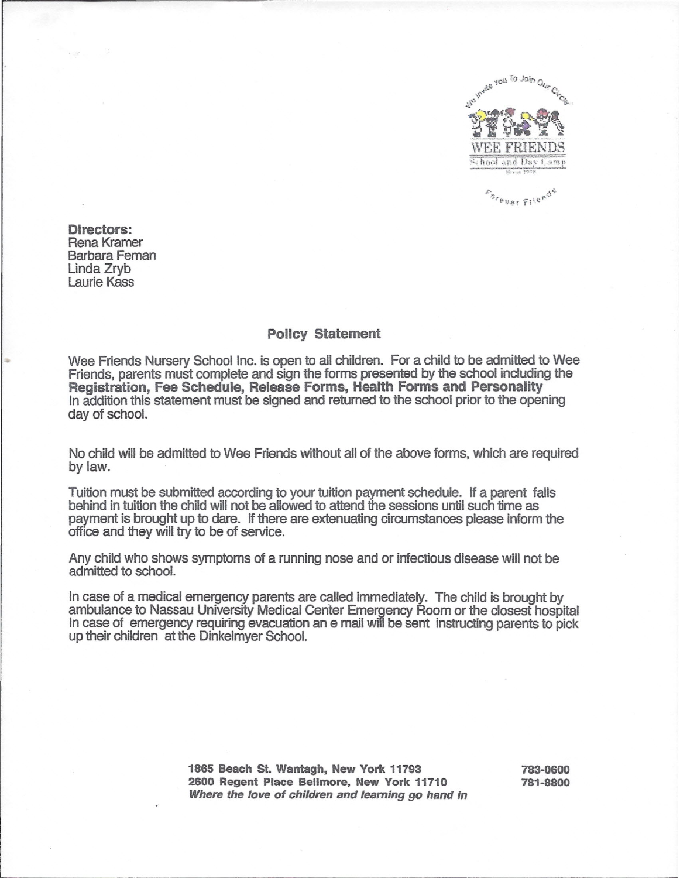

Directors: Rena Kramer Barbara Feman Linda Zryb Laurie Kass

I

L

## Policy Statement

Wee Friends Nursery School Inc. is open to all children. For a child to be admitted to Wee Friends, parents must complete and sign the forms presented by the school including the Registration, Fee Schedule, Release Forms, Health Forms and Personality In addition this statement must be signed and returned to the school prior to the opening day of school.

No child will be admitted to Wee Friends without all of the above forms, which are required bylaw.

Tuition must be submitted according to your tuition payment schedule. If a parent falls behind in tuition the child will not be allowed to attend the sessions until such time as payment is brought up to dare. If there are extenuating circumstances please inform the office and they will try to be of service.

Any child who shows symptoms of a running nose and or infectious disease will not be admitted to school.

In case of a medical emergency parents are called immediately. The child is brought by ambulance to Nassau University Medical Center Emergency Room or the closest hospital In case of emergency requiring evacuation an e mail will be sent instructing parents to pick up their children at the Dinkelmyer School.

> 1865 Beach St. Wantagh, New York 11793 2600 Regent Place Bellmore, New York 11710 *Where the love* of *children and learning go hand in*

783-0600 781-8800